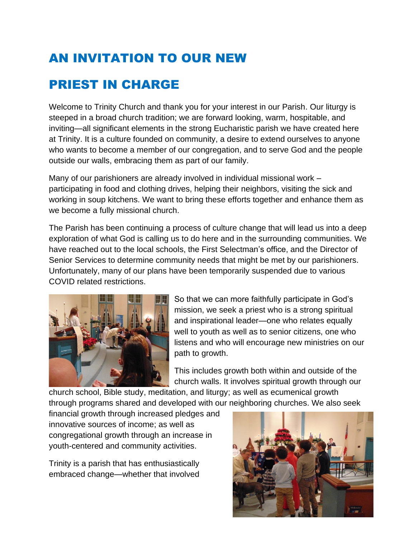## AN INVITATION TO OUR NEW

## PRIEST IN CHARGE

Welcome to Trinity Church and thank you for your interest in our Parish. Our liturgy is steeped in a broad church tradition; we are forward looking, warm, hospitable, and inviting—all significant elements in the strong Eucharistic parish we have created here at Trinity. It is a culture founded on community, a desire to extend ourselves to anyone who wants to become a member of our congregation, and to serve God and the people outside our walls, embracing them as part of our family.

Many of our parishioners are already involved in individual missional work – participating in food and clothing drives, helping their neighbors, visiting the sick and working in soup kitchens. We want to bring these efforts together and enhance them as we become a fully missional church.

The Parish has been continuing a process of culture change that will lead us into a deep exploration of what God is calling us to do here and in the surrounding communities. We have reached out to the local schools, the First Selectman's office, and the Director of Senior Services to determine community needs that might be met by our parishioners. Unfortunately, many of our plans have been temporarily suspended due to various COVID related restrictions.



So that we can more faithfully participate in God's mission, we seek a priest who is a strong spiritual and inspirational leader—one who relates equally well to youth as well as to senior citizens, one who listens and who will encourage new ministries on our path to growth.

This includes growth both within and outside of the church walls. It involves spiritual growth through our

church school, Bible study, meditation, and liturgy; as well as ecumenical growth through programs shared and developed with our neighboring churches. We also seek

financial growth through increased pledges and innovative sources of income; as well as congregational growth through an increase in youth-centered and community activities.

Trinity is a parish that has enthusiastically embraced change—whether that involved